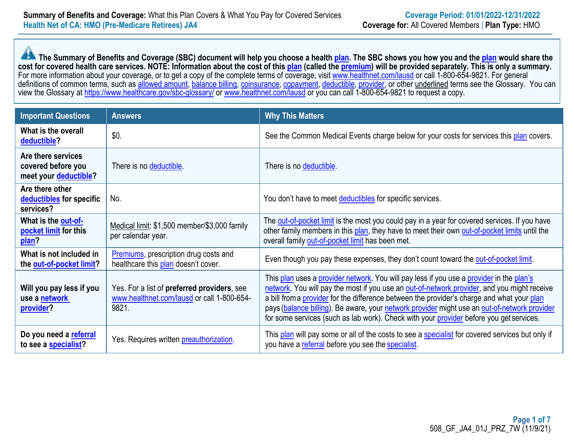**The Summary of Benefits and Coverage (SBC) document will help you choose a health [plan.](https://www.healthcare.gov/sbc-glossary/#plan)** The SBC shows you how you and the [plan](https://www.healthcare.gov/glossary/plan/) would share the **cost for covered health care services. NOTE: Information about the cost of this [plan](https://www.healthcare.gov/glossary/plan/) (called th[e premium\)](https://www.healthcare.gov/sbc-glossary/#premium) will be provided separately. This is only a summary.**  For more information about your coverage, or to get a copy of the complete terms of coverage, visit [www.healthnet.com/lausd](https://lausd.healthnetcalifornia.com/) or call 1-800-654-9821. For general definitions of common terms, such as [allowed amount,](https://www.healthcare.gov/sbc-glossary/#allowed-amount) [balance billing,](https://www.healthcare.gov/sbc-glossary/#balance-billing) [coinsurance,](https://www.healthcare.gov/sbc-glossary/#coinsurance) [copayment,](https://www.healthcare.gov/sbc-glossary/#copayment) [deductible,](https://www.healthcare.gov/sbc-glossary/#deductible) [provider,](https://www.healthcare.gov/sbc-glossary/#provider) or other underlined terms see the Glossary. You can view the Glossary at<https://www.healthcare.gov/sbc-glossary/> or [www.healthnet.com/lausd](https://lausd.healthnetcalifornia.com/) or you can call 1-800-654-9821 to request a copy.

| <b>Important Questions</b>                                        | <b>Answers</b>                                                                                             | <b>Why This Matters</b>                                                                                                                                                                                                                                                                                                                                                                                                                                                          |
|-------------------------------------------------------------------|------------------------------------------------------------------------------------------------------------|----------------------------------------------------------------------------------------------------------------------------------------------------------------------------------------------------------------------------------------------------------------------------------------------------------------------------------------------------------------------------------------------------------------------------------------------------------------------------------|
| What is the overall<br>deductible?                                | \$0.                                                                                                       | See the Common Medical Events charge below for your costs for services this plan covers.                                                                                                                                                                                                                                                                                                                                                                                         |
| Are there services<br>covered before you<br>meet your deductible? | There is no deductible.                                                                                    | There is no deductible.                                                                                                                                                                                                                                                                                                                                                                                                                                                          |
| Are there other<br>deductibles for specific<br>services?          | No.                                                                                                        | You don't have to meet deductibles for specific services.                                                                                                                                                                                                                                                                                                                                                                                                                        |
| What is the out-of-<br>pocket limit for this<br>plan?             | Medical limit: \$1,500 member/\$3,000 family<br>per calendar year.                                         | The out-of-pocket limit is the most you could pay in a year for covered services. If you have<br>other family members in this plan, they have to meet their own out-of-pocket limits until the<br>overall family out-of-pocket limit has been met.                                                                                                                                                                                                                               |
| What is not included in<br>the out-of-pocket limit?               | <b>Premiums</b> , prescription drug costs and<br>healthcare this plan doesn't cover.                       | Even though you pay these expenses, they don't count toward the out-of-pocket limit.                                                                                                                                                                                                                                                                                                                                                                                             |
| Will you pay less if you<br>use a network<br>provider?            | Yes. For a list of <b>preferred providers</b> , see<br>www.healthnet.com/lausd or call 1-800-654-<br>9821. | This plan uses a provider network. You will pay less if you use a provider in the plan's<br>network. You will pay the most if you use an out-of-network provider, and you might receive<br>a bill from a provider for the difference between the provider's charge and what your plan<br>pays (balance billing). Be aware, your network provider might use an out-of-network provider<br>for some services (such as lab work). Check with your provider before you get services. |
| Do you need a referral<br>to see a specialist?                    | Yes. Requires written preauthorization.                                                                    | This plan will pay some or all of the costs to see a specialist for covered services but only if<br>you have a referral before you see the specialist.                                                                                                                                                                                                                                                                                                                           |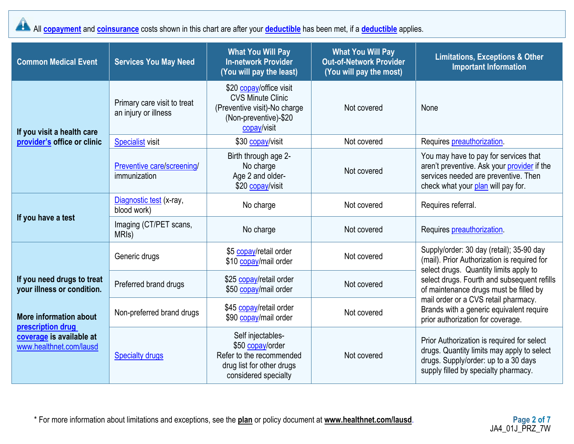All **[copayment](https://www.healthcare.gov/sbc-glossary/#copayment)** and **[coinsurance](https://www.healthcare.gov/sbc-glossary/#coinsurance)** costs shown in this chart are after your **[deductible](https://www.healthcare.gov/sbc-glossary/#deductible)** has been met, if a **deductible** applies.

| <b>Common Medical Event</b>                                                                        | <b>Services You May Need</b>                        | <b>What You Will Pay</b><br><b>In-network Provider</b><br>(You will pay the least)                                          | <b>What You Will Pay</b><br><b>Out-of-Network Provider</b><br>(You will pay the most) | <b>Limitations, Exceptions &amp; Other</b><br><b>Important Information</b>                                                                                               |
|----------------------------------------------------------------------------------------------------|-----------------------------------------------------|-----------------------------------------------------------------------------------------------------------------------------|---------------------------------------------------------------------------------------|--------------------------------------------------------------------------------------------------------------------------------------------------------------------------|
| If you visit a health care                                                                         | Primary care visit to treat<br>an injury or illness | \$20 copay/office visit<br><b>CVS Minute Clinic</b><br>(Preventive visit)-No charge<br>(Non-preventive)-\$20<br>copay/visit | Not covered                                                                           | None                                                                                                                                                                     |
| provider's office or clinic                                                                        | <b>Specialist visit</b>                             | \$30 copay/visit                                                                                                            | Not covered                                                                           | Requires preauthorization.                                                                                                                                               |
|                                                                                                    | Preventive care/screening/<br>immunization          | Birth through age 2-<br>No charge<br>Age 2 and older-<br>\$20 copay/visit                                                   | Not covered                                                                           | You may have to pay for services that<br>aren't preventive. Ask your provider if the<br>services needed are preventive. Then<br>check what your plan will pay for.       |
|                                                                                                    | Diagnostic test (x-ray,<br>blood work)              | No charge                                                                                                                   | Not covered                                                                           | Requires referral.                                                                                                                                                       |
| If you have a test                                                                                 | Imaging (CT/PET scans,<br>MRI <sub>s</sub> )        | No charge                                                                                                                   | Not covered                                                                           | Requires preauthorization.                                                                                                                                               |
|                                                                                                    | Generic drugs                                       | \$5 copay/retail order<br>\$10 copay/mail order                                                                             | Not covered                                                                           | Supply/order: 30 day (retail); 35-90 day<br>(mail). Prior Authorization is required for<br>select drugs. Quantity limits apply to                                        |
| If you need drugs to treat<br>your illness or condition.                                           | Preferred brand drugs                               | \$25 copay/retail order<br>\$50 copay/mail order                                                                            | Not covered                                                                           | select drugs. Fourth and subsequent refills<br>of maintenance drugs must be filled by                                                                                    |
| More information about<br>prescription drug<br>coverage is available at<br>www.healthnet.com/lausd | Non-preferred brand drugs                           | \$45 copay/retail order<br>\$90 copay/mail order                                                                            | Not covered                                                                           | mail order or a CVS retail pharmacy.<br>Brands with a generic equivalent require<br>prior authorization for coverage.                                                    |
|                                                                                                    | <b>Specialty drugs</b>                              | Self injectables-<br>\$50 copay/order<br>Refer to the recommended<br>drug list for other drugs<br>considered specialty      | Not covered                                                                           | Prior Authorization is required for select<br>drugs. Quantity limits may apply to select<br>drugs. Supply/order: up to a 30 days<br>supply filled by specialty pharmacy. |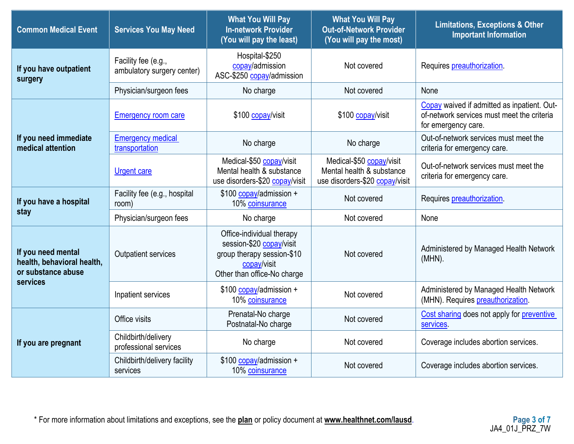| <b>Common Medical Event</b>                                            | <b>Services You May Need</b>                      | <b>What You Will Pay</b><br><b>In-network Provider</b><br>(You will pay the least)                                                | <b>What You Will Pay</b><br><b>Out-of-Network Provider</b><br>(You will pay the most)   | <b>Limitations, Exceptions &amp; Other</b><br><b>Important Information</b>                                       |
|------------------------------------------------------------------------|---------------------------------------------------|-----------------------------------------------------------------------------------------------------------------------------------|-----------------------------------------------------------------------------------------|------------------------------------------------------------------------------------------------------------------|
| If you have outpatient<br>surgery                                      | Facility fee (e.g.,<br>ambulatory surgery center) | Hospital-\$250<br>copay/admission<br>ASC-\$250 copay/admission                                                                    | Not covered                                                                             | Requires preauthorization.                                                                                       |
|                                                                        | Physician/surgeon fees                            | No charge                                                                                                                         | Not covered                                                                             | None                                                                                                             |
|                                                                        | <b>Emergency room care</b>                        | \$100 copay/visit                                                                                                                 | \$100 copay/visit                                                                       | Copay waived if admitted as inpatient. Out-<br>of-network services must meet the criteria<br>for emergency care. |
| If you need immediate<br>medical attention                             | <b>Emergency medical</b><br>transportation        | No charge                                                                                                                         | No charge                                                                               | Out-of-network services must meet the<br>criteria for emergency care.                                            |
|                                                                        | <b>Urgent care</b>                                | Medical-\$50 copay/visit<br>Mental health & substance<br>use disorders-\$20 copay/visit                                           | Medical-\$50 copay/visit<br>Mental health & substance<br>use disorders-\$20 copay/visit | Out-of-network services must meet the<br>criteria for emergency care.                                            |
| If you have a hospital                                                 | Facility fee (e.g., hospital<br>room)             | \$100 copay/admission +<br>10% coinsurance                                                                                        | Not covered                                                                             | Requires preauthorization                                                                                        |
| stay                                                                   | Physician/surgeon fees                            | No charge                                                                                                                         | Not covered                                                                             | None                                                                                                             |
| If you need mental<br>health, behavioral health,<br>or substance abuse | <b>Outpatient services</b>                        | Office-individual therapy<br>session-\$20 copay/visit<br>group therapy session-\$10<br>copay/visit<br>Other than office-No charge | Not covered                                                                             | Administered by Managed Health Network<br>(MHN).                                                                 |
| services                                                               | Inpatient services                                | \$100 copay/admission +<br>10% coinsurance                                                                                        | Not covered                                                                             | Administered by Managed Health Network<br>(MHN). Requires preauthorization.                                      |
|                                                                        | Office visits                                     | Prenatal-No charge<br>Postnatal-No charge                                                                                         | Not covered                                                                             | Cost sharing does not apply for preventive<br>services                                                           |
| If you are pregnant                                                    | Childbirth/delivery<br>professional services      | No charge                                                                                                                         | Not covered                                                                             | Coverage includes abortion services.                                                                             |
|                                                                        | Childbirth/delivery facility<br>services          | \$100 copay/admission +<br>10% coinsurance                                                                                        | Not covered                                                                             | Coverage includes abortion services.                                                                             |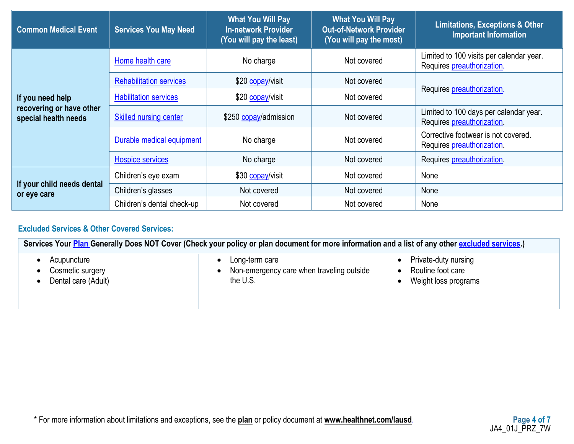| <b>Common Medical Event</b>                      | <b>Services You May Need</b>   | <b>What You Will Pay</b><br><b>In-network Provider</b><br>(You will pay the least) | <b>What You Will Pay</b><br><b>Out-of-Network Provider</b><br>(You will pay the most) | <b>Limitations, Exceptions &amp; Other</b><br><b>Important Information</b> |  |
|--------------------------------------------------|--------------------------------|------------------------------------------------------------------------------------|---------------------------------------------------------------------------------------|----------------------------------------------------------------------------|--|
|                                                  | Home health care               | No charge                                                                          | Not covered                                                                           | Limited to 100 visits per calendar year.<br>Requires preauthorization.     |  |
|                                                  | <b>Rehabilitation services</b> | \$20 copay/visit                                                                   | Not covered                                                                           | Requires preauthorization.                                                 |  |
| If you need help                                 | <b>Habilitation services</b>   | \$20 copay/visit                                                                   | Not covered                                                                           |                                                                            |  |
| recovering or have other<br>special health needs | <b>Skilled nursing center</b>  | \$250 copay/admission                                                              | Not covered                                                                           | Limited to 100 days per calendar year.<br>Requires preauthorization.       |  |
|                                                  | Durable medical equipment      | No charge                                                                          | Not covered                                                                           | Corrective footwear is not covered.<br>Requires preauthorization.          |  |
|                                                  | <b>Hospice services</b>        | No charge                                                                          | Not covered                                                                           | Requires preauthorization                                                  |  |
|                                                  | Children's eye exam            | \$30 copay/visit                                                                   | Not covered                                                                           | None                                                                       |  |
| If your child needs dental<br>or eye care        | Children's glasses             | Not covered<br>Not covered                                                         |                                                                                       | None                                                                       |  |
|                                                  | Children's dental check-up     | Not covered                                                                        | Not covered                                                                           | None                                                                       |  |

# **Excluded Services & Other Covered Services:**

| Services Your Plan Generally Does NOT Cover (Check your policy or plan document for more information and a list of any other excluded services.) |                                           |                      |  |  |
|--------------------------------------------------------------------------------------------------------------------------------------------------|-------------------------------------------|----------------------|--|--|
| Acupuncture                                                                                                                                      | Long-term care                            | Private-duty nursing |  |  |
| Cosmetic surgery                                                                                                                                 | Non-emergency care when traveling outside | Routine foot care    |  |  |
| Dental care (Adult)                                                                                                                              | the U.S.                                  | Weight loss programs |  |  |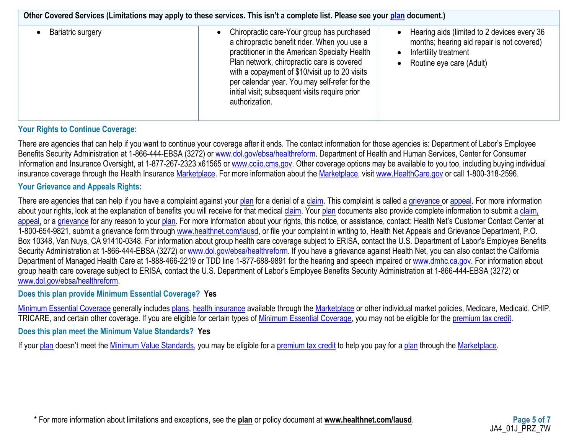| Other Covered Services (Limitations may apply to these services. This isn't a complete list. Please see your plan document.) |                                                                                                                                                                                                                                                                                                                                                                  |                                                                                                                                                |  |  |  |
|------------------------------------------------------------------------------------------------------------------------------|------------------------------------------------------------------------------------------------------------------------------------------------------------------------------------------------------------------------------------------------------------------------------------------------------------------------------------------------------------------|------------------------------------------------------------------------------------------------------------------------------------------------|--|--|--|
| Bariatric surgery                                                                                                            | Chiropractic care-Your group has purchased<br>a chiropractic benefit rider. When you use a<br>practitioner in the American Specialty Health<br>Plan network, chiropractic care is covered<br>with a copayment of \$10/visit up to 20 visits<br>per calendar year. You may self-refer for the<br>initial visit; subsequent visits require prior<br>authorization. | Hearing aids (limited to 2 devices every 36<br>months; hearing aid repair is not covered)<br>Infertility treatment<br>Routine eye care (Adult) |  |  |  |

### **Your Rights to Continue Coverage:**

There are agencies that can help if you want to continue your coverage after it ends. The contact information for those agencies is: Department of Labor's Employee Benefits Security Administration at 1-866-444-EBSA (3272) or [www.dol.gov/ebsa/healthreform.](http://www.dol.gov/ebsa/healthreform) Department of Health and Human Services, Center for Consumer Information and Insurance Oversight, at 1-877-267-2323 x61565 or [www.cciio.cms.gov.](http://www.cciio.cms.gov/) Other coverage options may be available to you too, including buying individual insurance coverage through the Health Insurance [Marketplace.](https://www.healthcare.gov/sbc-glossary/#marketplace) For more information about the [Marketplace,](https://www.healthcare.gov/sbc-glossary/#marketplace) visit [www.HealthCare.gov](http://www.healthcare.gov/) or call 1-800-318-2596.

### **Your Grievance and Appeals Rights:**

There are agencies that can help if you have a complaint against your [plan](https://www.healthcare.gov/sbc-glossary/#plan) for a denial of a [claim.](https://www.healthcare.gov/sbc-glossary/#claim) This complaint is called a [grievance](https://www.healthcare.gov/sbc-glossary/#grievance) or [appeal.](https://www.healthcare.gov/sbc-glossary/#appeal) For more information about your rights, look at the explanation of benefits you will receive for that medical [claim.](https://www.healthcare.gov/sbc-glossary/#claim) Your [plan](https://www.healthcare.gov/sbc-glossary/#plan) documents also provide complete information to submit a [claim,](https://www.healthcare.gov/sbc-glossary/#claim) [appeal,](https://www.healthcare.gov/sbc-glossary/#appeal) or a [grievance](https://www.healthcare.gov/sbc-glossary/#grievance) for any reason to your [plan.](https://www.healthcare.gov/sbc-glossary/#plan) For more information about your rights, this notice, or assistance, contact: Health Net's Customer Contact Center at 1-800-654-9821, submit a grievance form through [www.healthnet.com/lausd,](https://lausd.healthnetcalifornia.com/) or file your complaint in writing to, Health Net Appeals and Grievance Department, P.O. Box 10348, Van Nuys, CA 91410-0348. For information about group health care coverage subject to ERISA, contact the U.S. Department of Labor's Employee Benefits Security Administration at 1-866-444-EBSA (3272) or [www.dol.gov/ebsa/healthreform.](http://www.dol.gov/ebsa/healthreform) If you have a grievance against Health Net, you can also contact the California Department of Managed Health Care at 1-888-466-2219 or TDD line 1-877-688-9891 for the hearing and speech impaired or [www.dmhc.ca.gov.](http://www.dmhc.ca.gov/) For information about group health care coverage subject to ERISA, contact the U.S. Department of Labor's Employee Benefits Security Administration at 1-866-444-EBSA (3272) or [www.dol.gov/ebsa/healthreform.](http://www.dol.gov/ebsa/healthreform)

### **Does this plan provide Minimum Essential Coverage? Yes**

[Minimum Essential Coverage](https://www.healthcare.gov/sbc-glossary/#minimum-essential-coverage) generally includes [plans,](https://www.healthcare.gov/sbc-glossary/#plan) [health insurance](https://www.healthcare.gov/sbc-glossary/#health-insurance) available through the [Marketplace](https://www.healthcare.gov/sbc-glossary/#marketplace) or other individual market policies, Medicare, Medicaid, CHIP, TRICARE, and certain other coverage. If you are eligible for certain types of [Minimum Essential Coverage,](https://www.healthcare.gov/sbc-glossary/#minimum-essential-coverage) you may not be eligible for the [premium tax credit.](https://www.healthcare.gov/sbc-glossary/#premium-tax-credits)

### **Does this plan meet the Minimum Value Standards? Yes**

If your [plan](https://www.healthcare.gov/sbc-glossary/#plan) doesn't meet the [Minimum Value Standards,](https://www.healthcare.gov/sbc-glossary/#minimum-value-standard) you may be eligible for a [premium tax credit](https://www.healthcare.gov/sbc-glossary/#premium-tax-credits) to help you pay for a [plan](https://www.healthcare.gov/sbc-glossary/#plan) through the [Marketplace.](https://www.healthcare.gov/sbc-glossary/#marketplace)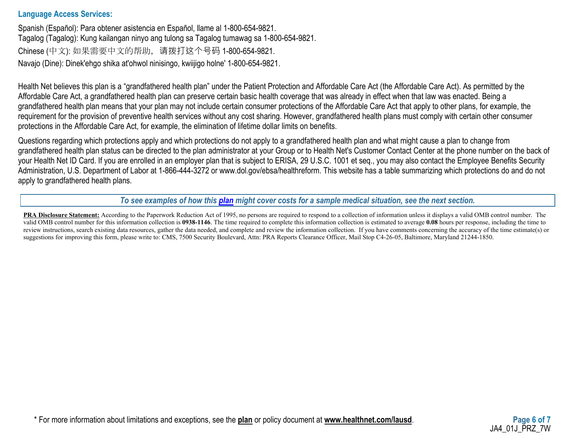### **Language Access Services:**

Spanish (Español): Para obtener asistencia en Español, llame al 1-800-654-9821. Tagalog (Tagalog): Kung kailangan ninyo ang tulong sa Tagalog tumawag sa 1-800-654-9821. Chinese (中文): 如果需要中文的帮助,请拨打这个号码 1-800-654-9821. Navajo (Dine): Dinek'ehgo shika at'ohwol ninisingo, kwiijigo holne' 1-800-654-9821.

Health Net believes this plan is a "grandfathered health plan" under the Patient Protection and Affordable Care Act (the Affordable Care Act). As permitted by the Affordable Care Act, a grandfathered health plan can preserve certain basic health coverage that was already in effect when that law was enacted. Being a grandfathered health plan means that your plan may not include certain consumer protections of the Affordable Care Act that apply to other plans, for example, the requirement for the provision of preventive health services without any cost sharing. However, grandfathered health plans must comply with certain other consumer protections in the Affordable Care Act, for example, the elimination of lifetime dollar limits on benefits.

Questions regarding which protections apply and which protections do not apply to a grandfathered health plan and what might cause a plan to change from grandfathered health plan status can be directed to the plan administrator at your Group or to Health Net's Customer Contact Center at the phone number on the back of your Health Net ID Card. If you are enrolled in an employer plan that is subject to ERISA, 29 U.S.C. 1001 et seq., you may also contact the Employee Benefits Security Administration, U.S. Department of Labor at 1-866-444-3272 or www.dol.gov/ebsa/healthreform. This website has a table summarizing which protections do and do not apply to grandfathered health plans.

*To see examples of how this [plan](https://www.healthcare.gov/sbc-glossary/#plan) might cover costs for a sample medical situation, see the next section.*

**PRA Disclosure Statement:** According to the Paperwork Reduction Act of 1995, no persons are required to respond to a collection of information unless it displays a valid OMB control number. The valid OMB control number for this information collection is **0938-1146**. The time required to complete this information collection is estimated to average **0.08** hours per response, including the time to review instructions, search existing data resources, gather the data needed, and complete and review the information collection. If you have comments concerning the accuracy of the time estimate(s) or suggestions for improving this form, please write to: CMS, 7500 Security Boulevard, Attn: PRA Reports Clearance Officer, Mail Stop C4-26-05, Baltimore, Maryland 21244-1850.